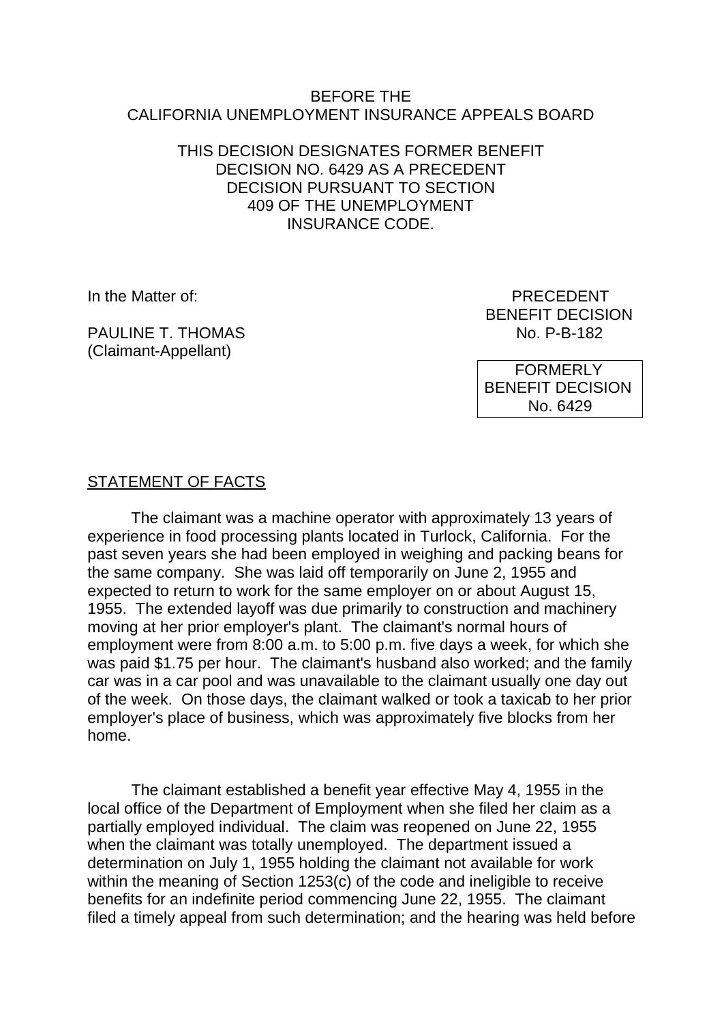#### BEFORE THE CALIFORNIA UNEMPLOYMENT INSURANCE APPEALS BOARD

#### THIS DECISION DESIGNATES FORMER BENEFIT DECISION NO. 6429 AS A PRECEDENT DECISION PURSUANT TO SECTION 409 OF THE UNEMPLOYMENT INSURANCE CODE.

PAULINE T. THOMAS No. P-B-182 (Claimant-Appellant)

In the Matter of: PRECEDENT BENEFIT DECISION

> FORMERLY BENEFIT DECISION No. 6429

# STATEMENT OF FACTS

The claimant was a machine operator with approximately 13 years of experience in food processing plants located in Turlock, California. For the past seven years she had been employed in weighing and packing beans for the same company. She was laid off temporarily on June 2, 1955 and expected to return to work for the same employer on or about August 15, 1955. The extended layoff was due primarily to construction and machinery moving at her prior employer's plant. The claimant's normal hours of employment were from 8:00 a.m. to 5:00 p.m. five days a week, for which she was paid \$1.75 per hour. The claimant's husband also worked; and the family car was in a car pool and was unavailable to the claimant usually one day out of the week. On those days, the claimant walked or took a taxicab to her prior employer's place of business, which was approximately five blocks from her home.

The claimant established a benefit year effective May 4, 1955 in the local office of the Department of Employment when she filed her claim as a partially employed individual. The claim was reopened on June 22, 1955 when the claimant was totally unemployed. The department issued a determination on July 1, 1955 holding the claimant not available for work within the meaning of Section 1253(c) of the code and ineligible to receive benefits for an indefinite period commencing June 22, 1955. The claimant filed a timely appeal from such determination; and the hearing was held before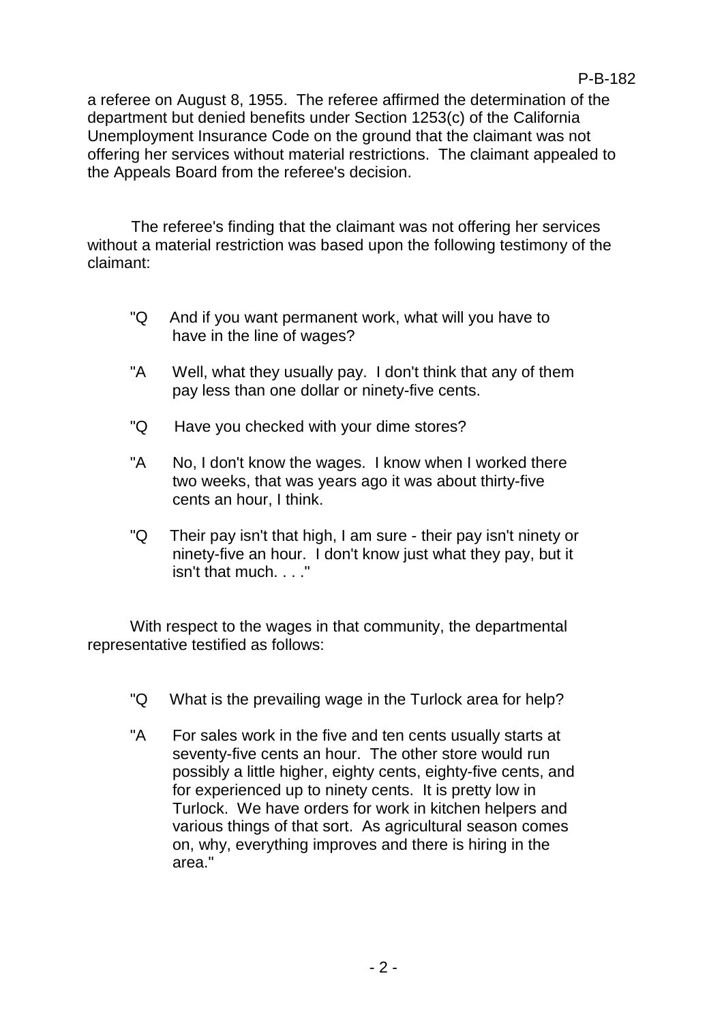a referee on August 8, 1955. The referee affirmed the determination of the department but denied benefits under Section 1253(c) of the California Unemployment Insurance Code on the ground that the claimant was not offering her services without material restrictions. The claimant appealed to the Appeals Board from the referee's decision.

The referee's finding that the claimant was not offering her services without a material restriction was based upon the following testimony of the claimant:

- "Q And if you want permanent work, what will you have to have in the line of wages?
- "A Well, what they usually pay. I don't think that any of them pay less than one dollar or ninety-five cents.
- "Q Have you checked with your dime stores?
- "A No, I don't know the wages. I know when I worked there two weeks, that was years ago it was about thirty-five cents an hour, I think.
- "Q Their pay isn't that high, I am sure their pay isn't ninety or ninety-five an hour. I don't know just what they pay, but it isn't that much. . . ."

With respect to the wages in that community, the departmental representative testified as follows:

- "Q What is the prevailing wage in the Turlock area for help?
- "A For sales work in the five and ten cents usually starts at seventy-five cents an hour. The other store would run possibly a little higher, eighty cents, eighty-five cents, and for experienced up to ninety cents. It is pretty low in Turlock. We have orders for work in kitchen helpers and various things of that sort. As agricultural season comes on, why, everything improves and there is hiring in the area."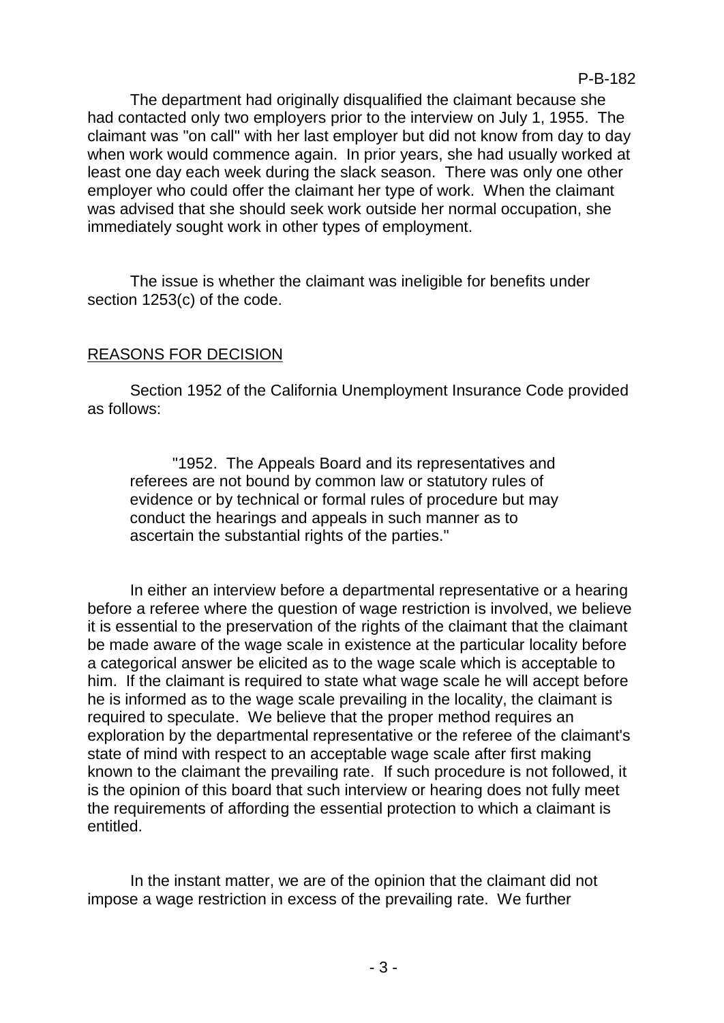The department had originally disqualified the claimant because she had contacted only two employers prior to the interview on July 1, 1955. The claimant was "on call" with her last employer but did not know from day to day when work would commence again. In prior years, she had usually worked at least one day each week during the slack season. There was only one other employer who could offer the claimant her type of work. When the claimant was advised that she should seek work outside her normal occupation, she immediately sought work in other types of employment.

The issue is whether the claimant was ineligible for benefits under section 1253(c) of the code.

# REASONS FOR DECISION

Section 1952 of the California Unemployment Insurance Code provided as follows:

"1952. The Appeals Board and its representatives and referees are not bound by common law or statutory rules of evidence or by technical or formal rules of procedure but may conduct the hearings and appeals in such manner as to ascertain the substantial rights of the parties."

In either an interview before a departmental representative or a hearing before a referee where the question of wage restriction is involved, we believe it is essential to the preservation of the rights of the claimant that the claimant be made aware of the wage scale in existence at the particular locality before a categorical answer be elicited as to the wage scale which is acceptable to him. If the claimant is required to state what wage scale he will accept before he is informed as to the wage scale prevailing in the locality, the claimant is required to speculate. We believe that the proper method requires an exploration by the departmental representative or the referee of the claimant's state of mind with respect to an acceptable wage scale after first making known to the claimant the prevailing rate. If such procedure is not followed, it is the opinion of this board that such interview or hearing does not fully meet the requirements of affording the essential protection to which a claimant is entitled.

In the instant matter, we are of the opinion that the claimant did not impose a wage restriction in excess of the prevailing rate. We further